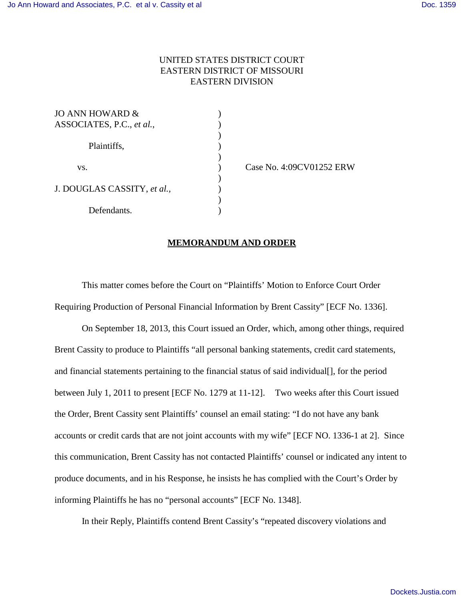## UNITED STATES DISTRICT COURT EASTERN DISTRICT OF MISSOURI EASTERN DIVISION

)

)

 $\mathcal{L}$ 

)

| JO ANN HOWARD &             |  |
|-----------------------------|--|
| ASSOCIATES, P.C., et al.,   |  |
|                             |  |
| Plaintiffs,                 |  |
|                             |  |
| VS.                         |  |
|                             |  |
| J. DOUGLAS CASSITY, et al., |  |
|                             |  |
| Defendants.                 |  |

) Case No. 4:09CV01252 ERW

## **MEMORANDUM AND ORDER**

This matter comes before the Court on "Plaintiffs' Motion to Enforce Court Order Requiring Production of Personal Financial Information by Brent Cassity" [ECF No. 1336].

On September 18, 2013, this Court issued an Order, which, among other things, required Brent Cassity to produce to Plaintiffs "all personal banking statements, credit card statements, and financial statements pertaining to the financial status of said individual[], for the period between July 1, 2011 to present [ECF No. 1279 at 11-12]. Two weeks after this Court issued the Order, Brent Cassity sent Plaintiffs' counsel an email stating: "I do not have any bank accounts or credit cards that are not joint accounts with my wife" [ECF NO. 1336-1 at 2]. Since this communication, Brent Cassity has not contacted Plaintiffs' counsel or indicated any intent to produce documents, and in his Response, he insists he has complied with the Court's Order by informing Plaintiffs he has no "personal accounts" [ECF No. 1348].

In their Reply, Plaintiffs contend Brent Cassity's "repeated discovery violations and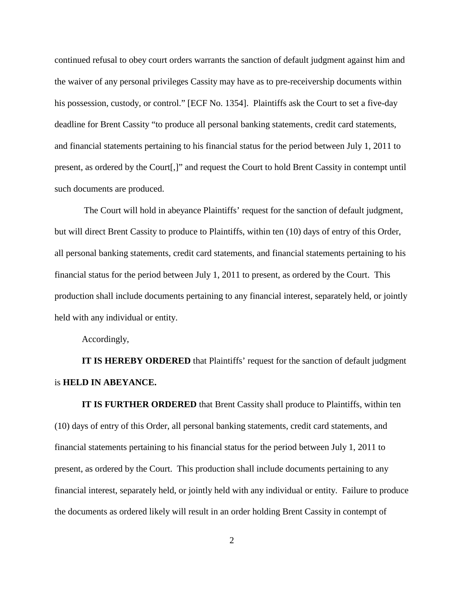continued refusal to obey court orders warrants the sanction of default judgment against him and the waiver of any personal privileges Cassity may have as to pre-receivership documents within his possession, custody, or control." [ECF No. 1354]. Plaintiffs ask the Court to set a five-day deadline for Brent Cassity "to produce all personal banking statements, credit card statements, and financial statements pertaining to his financial status for the period between July 1, 2011 to present, as ordered by the Court[,]" and request the Court to hold Brent Cassity in contempt until such documents are produced.

 The Court will hold in abeyance Plaintiffs' request for the sanction of default judgment, but will direct Brent Cassity to produce to Plaintiffs, within ten (10) days of entry of this Order, all personal banking statements, credit card statements, and financial statements pertaining to his financial status for the period between July 1, 2011 to present, as ordered by the Court. This production shall include documents pertaining to any financial interest, separately held, or jointly held with any individual or entity.

Accordingly,

**IT IS HEREBY ORDERED** that Plaintiffs' request for the sanction of default judgment is **HELD IN ABEYANCE.**

**IT IS FURTHER ORDERED** that Brent Cassity shall produce to Plaintiffs, within ten (10) days of entry of this Order, all personal banking statements, credit card statements, and financial statements pertaining to his financial status for the period between July 1, 2011 to present, as ordered by the Court. This production shall include documents pertaining to any financial interest, separately held, or jointly held with any individual or entity. Failure to produce the documents as ordered likely will result in an order holding Brent Cassity in contempt of